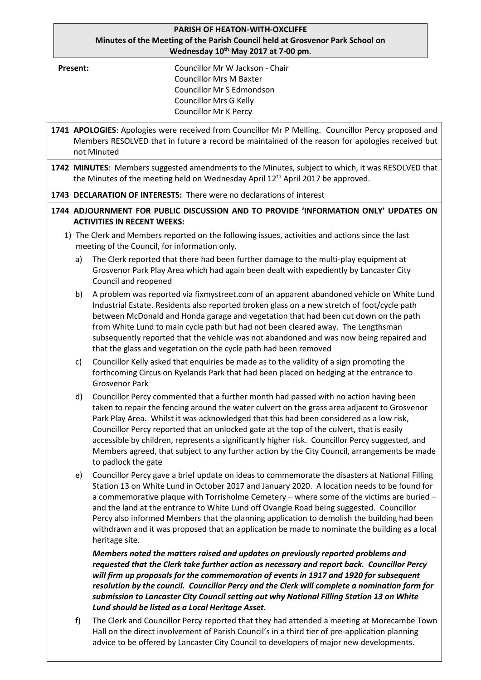## **PARISH OF HEATON-WITH-OXCLIFFE Minutes of the Meeting of the Parish Council held at Grosvenor Park School on Wednesday 10th May 2017 at 7-00 pm**.

**Present:** Councillor Mr W Jackson - Chair Councillor Mrs M Baxter Councillor Mr S Edmondson Councillor Mrs G Kelly Councillor Mr K Percy

- **1741 APOLOGIES**: Apologies were received from Councillor Mr P Melling. Councillor Percy proposed and Members RESOLVED that in future a record be maintained of the reason for apologies received but not Minuted **1742 MINUTES**: Members suggested amendments to the Minutes, subject to which, it was RESOLVED that the Minutes of the meeting held on Wednesday April  $12<sup>th</sup>$  April 2017 be approved. **1743 DECLARATION OF INTERESTS:** There were no declarations of interest **1744 ADJOURNMENT FOR PUBLIC DISCUSSION AND TO PROVIDE 'INFORMATION ONLY' UPDATES ON ACTIVITIES IN RECENT WEEKS:** 1) The Clerk and Members reported on the following issues, activities and actions since the last meeting of the Council, for information only. a) The Clerk reported that there had been further damage to the multi-play equipment at Grosvenor Park Play Area which had again been dealt with expediently by Lancaster City Council and reopened b) A problem was reported via fixmystreet.com of an apparent abandoned vehicle on White Lund Industrial Estate. Residents also reported broken glass on a new stretch of foot/cycle path between McDonald and Honda garage and vegetation that had been cut down on the path from White Lund to main cycle path but had not been cleared away. The Lengthsman subsequently reported that the vehicle was not abandoned and was now being repaired and that the glass and vegetation on the cycle path had been removed c) Councillor Kelly asked that enquiries be made as to the validity of a sign promoting the forthcoming Circus on Ryelands Park that had been placed on hedging at the entrance to Grosvenor Park d) Councillor Percy commented that a further month had passed with no action having been taken to repair the fencing around the water culvert on the grass area adjacent to Grosvenor Park Play Area. Whilst it was acknowledged that this had been considered as a low risk, Councillor Percy reported that an unlocked gate at the top of the culvert, that is easily accessible by children, represents a significantly higher risk. Councillor Percy suggested, and Members agreed, that subject to any further action by the City Council, arrangements be made to padlock the gate e) Councillor Percy gave a brief update on ideas to commemorate the disasters at National Filling Station 13 on White Lund in October 2017 and January 2020. A location needs to be found for a commemorative plaque with Torrisholme Cemetery – where some of the victims are buried – and the land at the entrance to White Lund off Ovangle Road being suggested. Councillor Percy also informed Members that the planning application to demolish the building had been withdrawn and it was proposed that an application be made to nominate the building as a local heritage site. *Members noted the matters raised and updates on previously reported problems and requested that the Clerk take further action as necessary and report back. Councillor Percy will firm up proposals for the commemoration of events in 1917 and 1920 for subsequent resolution by the council. Councillor Percy and the Clerk will complete a nomination form for submission to Lancaster City Council setting out why National Filling Station 13 on White Lund should be listed as a Local Heritage Asset.*  f) The Clerk and Councillor Percy reported that they had attended a meeting at Morecambe Town
	- Hall on the direct involvement of Parish Council's in a third tier of pre-application planning advice to be offered by Lancaster City Council to developers of major new developments.